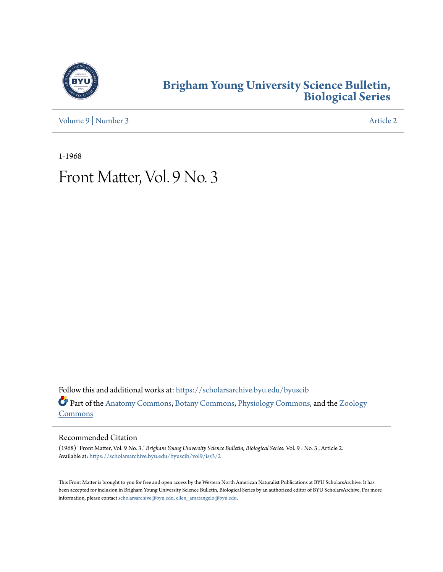

### **[Brigham Young University Science Bulletin,](https://scholarsarchive.byu.edu/byuscib?utm_source=scholarsarchive.byu.edu%2Fbyuscib%2Fvol9%2Fiss3%2F2&utm_medium=PDF&utm_campaign=PDFCoverPages) [Biological Series](https://scholarsarchive.byu.edu/byuscib?utm_source=scholarsarchive.byu.edu%2Fbyuscib%2Fvol9%2Fiss3%2F2&utm_medium=PDF&utm_campaign=PDFCoverPages)**

[Volume 9](https://scholarsarchive.byu.edu/byuscib/vol9?utm_source=scholarsarchive.byu.edu%2Fbyuscib%2Fvol9%2Fiss3%2F2&utm_medium=PDF&utm_campaign=PDFCoverPages) | [Number 3](https://scholarsarchive.byu.edu/byuscib/vol9/iss3?utm_source=scholarsarchive.byu.edu%2Fbyuscib%2Fvol9%2Fiss3%2F2&utm_medium=PDF&utm_campaign=PDFCoverPages) [Article 2](https://scholarsarchive.byu.edu/byuscib/vol9/iss3/2?utm_source=scholarsarchive.byu.edu%2Fbyuscib%2Fvol9%2Fiss3%2F2&utm_medium=PDF&utm_campaign=PDFCoverPages)

1-1968

# Front Matter, Vol. 9 No. 3

Follow this and additional works at: [https://scholarsarchive.byu.edu/byuscib](https://scholarsarchive.byu.edu/byuscib?utm_source=scholarsarchive.byu.edu%2Fbyuscib%2Fvol9%2Fiss3%2F2&utm_medium=PDF&utm_campaign=PDFCoverPages) Part of the [Anatomy Commons](http://network.bepress.com/hgg/discipline/903?utm_source=scholarsarchive.byu.edu%2Fbyuscib%2Fvol9%2Fiss3%2F2&utm_medium=PDF&utm_campaign=PDFCoverPages), [Botany Commons](http://network.bepress.com/hgg/discipline/104?utm_source=scholarsarchive.byu.edu%2Fbyuscib%2Fvol9%2Fiss3%2F2&utm_medium=PDF&utm_campaign=PDFCoverPages), [Physiology Commons,](http://network.bepress.com/hgg/discipline/69?utm_source=scholarsarchive.byu.edu%2Fbyuscib%2Fvol9%2Fiss3%2F2&utm_medium=PDF&utm_campaign=PDFCoverPages) and the [Zoology](http://network.bepress.com/hgg/discipline/81?utm_source=scholarsarchive.byu.edu%2Fbyuscib%2Fvol9%2Fiss3%2F2&utm_medium=PDF&utm_campaign=PDFCoverPages) [Commons](http://network.bepress.com/hgg/discipline/81?utm_source=scholarsarchive.byu.edu%2Fbyuscib%2Fvol9%2Fiss3%2F2&utm_medium=PDF&utm_campaign=PDFCoverPages)

#### Recommended Citation

(1968) "Front Matter, Vol. 9 No. 3," *Brigham Young University Science Bulletin, Biological Series*: Vol. 9 : No. 3 , Article 2. Available at: [https://scholarsarchive.byu.edu/byuscib/vol9/iss3/2](https://scholarsarchive.byu.edu/byuscib/vol9/iss3/2?utm_source=scholarsarchive.byu.edu%2Fbyuscib%2Fvol9%2Fiss3%2F2&utm_medium=PDF&utm_campaign=PDFCoverPages)

This Front Matter is brought to you for free and open access by the Western North American Naturalist Publications at BYU ScholarsArchive. It has been accepted for inclusion in Brigham Young University Science Bulletin, Biological Series by an authorized editor of BYU ScholarsArchive. For more information, please contact [scholarsarchive@byu.edu, ellen\\_amatangelo@byu.edu](mailto:scholarsarchive@byu.edu,%20ellen_amatangelo@byu.edu).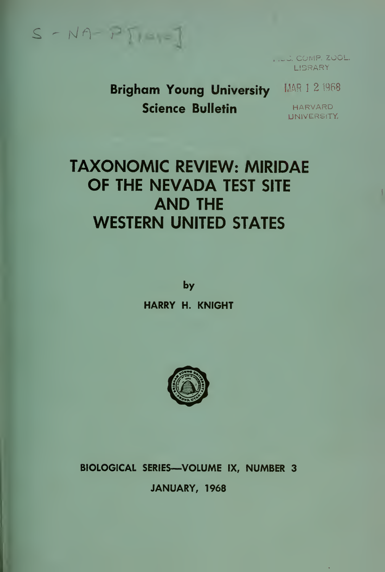$S - N A - P$ 

,.i«J. COMP. ZOOL. LIBRARY **L** 

Brigham Young University MAR 1 2 1968 Science Bulletin

HARVARD UNIVERSITY

 $\star$ 

# TAXONOMIC REVIEW: MIRIDAE OF THE NEVADA TEST SITE AND THE WESTERN UNITED STATES

by

HARRY H. KNIGHT



## BIOLOGICAL SERIES—VOLUME IX, NUMBER 3 JANUARY, 1968